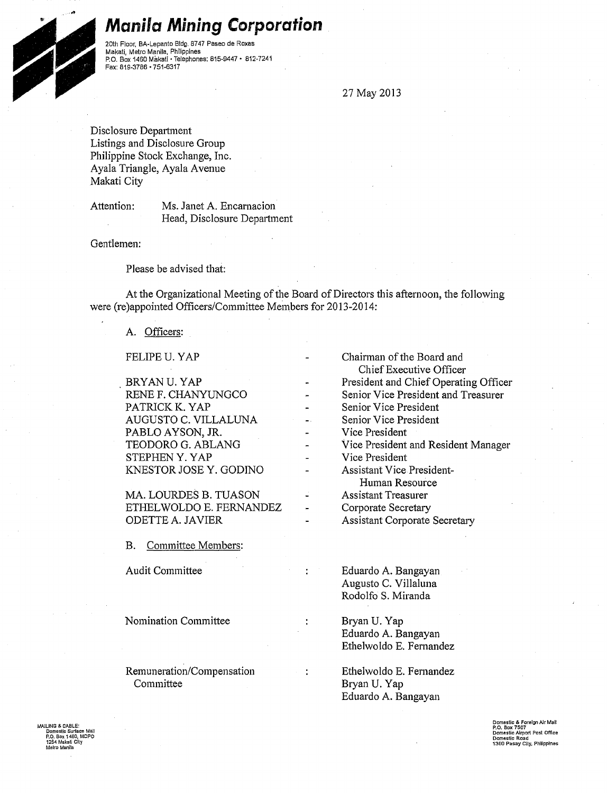## **Manila Mining Corporation**

20th Floor, BA-Lepanto Bldg. 8747 Paseo de Roxas Makati, Metro Manila, Philippines P.O. Box 1460 Makati • Telephones: 815-9447 • 812-7241 Fax: 819-3786 • 751-6317

27 May 2013

Disclosure Depatiment Listings and Disclosure Group Philippine Stock Exchange, Inc. Ayala Triangle, Ayala Avenue Makati City

Attention: Ms. Janet A. Encarnacion Head, Disclosure Depatiment

Gentlemen:

...

Please be advised that:

At the Organizational Meeting of the Board of Directors this afternoon, the following were (re)appointed Officers/Committee Members for 2013-2014:

t

 $\ddot{\cdot}$ 

## A. Officers:

FELIPE U. YAP

BRYANU. YAP RENE F. CHANYUNGCO PATRICK K. YAP AUGUSTO C. VILLALUNA PABLO AYSON, JR. TEODORO G. ABLANG STEPHENY. YAP KNESTOR JOSEY. GODINO

MA. LOURDES B. TUASON ETHEL WOLDO E. FERNANDEZ ODETTE A. JAVIER

B. Committee Members:

Audit Committee

Nomination Committee

Remuneration/Compensation Committee

Chairman of the Board and Chief Executive Officer President and Chief Operating Officer Senior Vice President and Treasurer Senior Vice President Senior Vice President Vice President Vice President and Resident Manager Vice President Assistant Vice President-Human Resource Assistant Treasurer Corporate Secretary Assistant Corporate Secretary

> Eduardo A. Bangayan Augusto C. Villaluna Rodolfo S. Miranda

Bryan U. Yap Eduardo A. Bangayan Ethelwoldo E. Fernandez

Ethelwoldo E. Fernandez Bryan U. Yap Eduardo A. Bangayan

MAILING & CABLE: **Domestic Surface Mai1 P.O. Box 1460, M** 1 2S4 Maka\i City **Metro Manila** 

**Domestic & Foreign AJr Mall P.O. Box 7507 Domestic Airport Post Office Domestic Road 1300 Pasay Cily, Philippines**